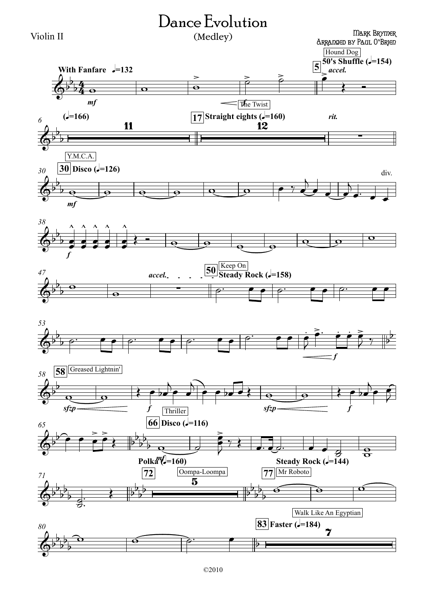